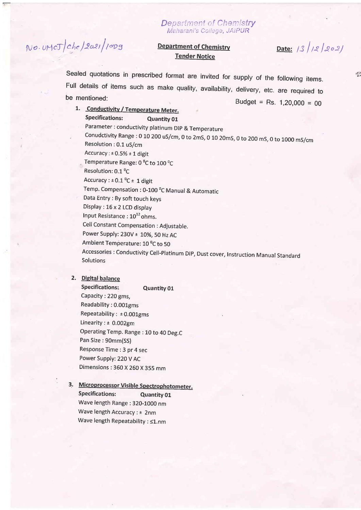# $N$ o. UMCJ $/$ Che $/$ 2021 $/$ 10Dg

#### Department of Chemistry Meharani's College, JAIPUR

## Tender Notice

**Department of Chemistry** Date:  $\frac{1}{3}$   $\frac{1}{2}$   $\frac{1}{2}$   $\frac{1}{2}$   $\frac{1}{2}$   $\frac{1}{2}$ 

Sealed quotations in prescribed format are invited for supply of the following items. Full details of items such as make quality, availability, delivery, etc. are required to be mentioned:

be mentioned:<br> **budget = Rs. 1,20,000 = 00**<br> **budget = Rs. 1,20,000 = 00** Specifications: Quantity 01 Parameter : conductivity platinum Dlp & Temperature , conudctivity Range : 0 10 200 us/cm, 0 to 2mS, 0 10 20mS, 0 to 200 ms, o to 1o0o ms/cm Resolution ;0.1 uS/cm Accuracy :  $\pm$  0.5%  $\pm$  1 digit Temperature Range: 0 °C to 100 °C Resolution: 0.1 °C Accuracy :  $\pm$  0.1 <sup>o</sup>C  $\pm$  1 digit Temp. Compensation : 0-100 $P^0$ C Manual & Automatic Data Entry : By soft touch keys Display : 16 x 2 LCD display Input Resistance:  $10^{12}$  ohms. Cell Constant Compensation : Adjustable. Power Supply:  $230V \pm 10$ %, 50 Hz AC Ambient Temperature: 10<sup>°</sup>C to 50 Accessories : conductivity Cell-Platinum DlP, Dust cover, Instruction Manual Standard Solutions

### 2. Digital balance

Specifications: Quantity 01 Capacity :22O gms, Readability : 0.001gms Repeatability :  $\pm 0.001$ gms Linearity :  $\pm$  0.002gm Operating Temp. Range : 10 to 40 Deg.C Pan Size: 90mm(SS) Response Time: 3 pr 4 sec Power Supply: 22OV AC Dimensions : 360 X 2G0 X 355 mm

## 3. Microprocessor Visible Spectrophotometer. Specifications: Quantity 01 Wave length Range :320-1000 nm Wave length Accuracy : ± 2nm Wave length Repeatability :  $\leq 1$ .nm